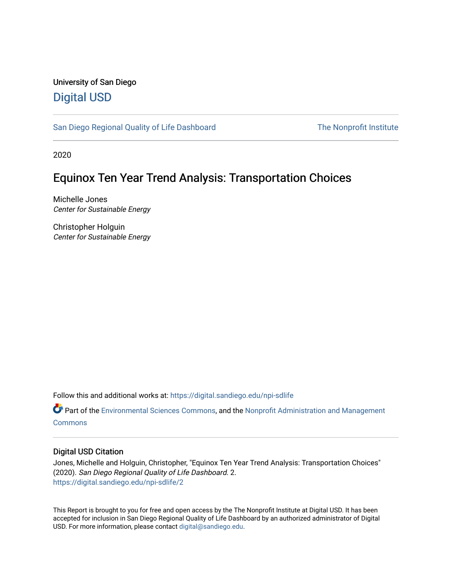# University of San Diego [Digital USD](https://digital.sandiego.edu/)

[San Diego Regional Quality of Life Dashboard](https://digital.sandiego.edu/npi-sdlife) The Nonprofit Institute

2020

# Equinox Ten Year Trend Analysis: Transportation Choices

Michelle Jones Center for Sustainable Energy

Christopher Holguin Center for Sustainable Energy

Follow this and additional works at: [https://digital.sandiego.edu/npi-sdlife](https://digital.sandiego.edu/npi-sdlife?utm_source=digital.sandiego.edu%2Fnpi-sdlife%2F2&utm_medium=PDF&utm_campaign=PDFCoverPages) 

Part of the [Environmental Sciences Commons](http://network.bepress.com/hgg/discipline/167?utm_source=digital.sandiego.edu%2Fnpi-sdlife%2F2&utm_medium=PDF&utm_campaign=PDFCoverPages), and the [Nonprofit Administration and Management](http://network.bepress.com/hgg/discipline/1228?utm_source=digital.sandiego.edu%2Fnpi-sdlife%2F2&utm_medium=PDF&utm_campaign=PDFCoverPages)  [Commons](http://network.bepress.com/hgg/discipline/1228?utm_source=digital.sandiego.edu%2Fnpi-sdlife%2F2&utm_medium=PDF&utm_campaign=PDFCoverPages)

## Digital USD Citation

Jones, Michelle and Holguin, Christopher, "Equinox Ten Year Trend Analysis: Transportation Choices" (2020). San Diego Regional Quality of Life Dashboard. 2. [https://digital.sandiego.edu/npi-sdlife/2](https://digital.sandiego.edu/npi-sdlife/2?utm_source=digital.sandiego.edu%2Fnpi-sdlife%2F2&utm_medium=PDF&utm_campaign=PDFCoverPages) 

This Report is brought to you for free and open access by the The Nonprofit Institute at Digital USD. It has been accepted for inclusion in San Diego Regional Quality of Life Dashboard by an authorized administrator of Digital USD. For more information, please contact [digital@sandiego.edu](mailto:digital@sandiego.edu).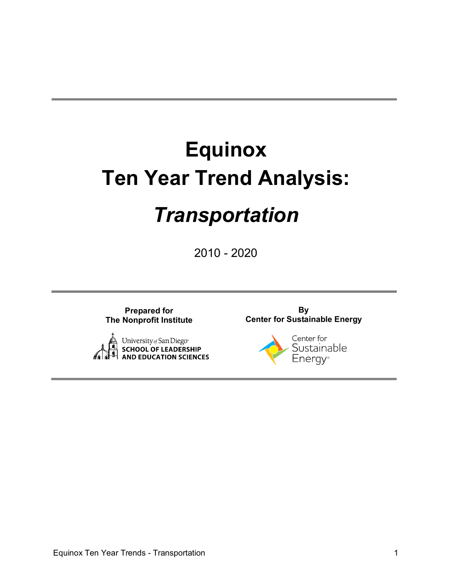# **Equinox Ten Year Trend Analysis:** *Transportation*

2010 - 2020

**Prepared for The Nonprofit Institute**



**By Center for Sustainable Energy**

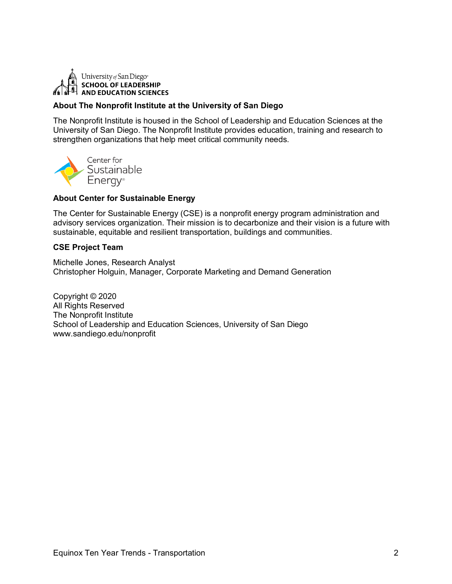

### **About The Nonprofit Institute at the University of San Diego**

The Nonprofit Institute is housed in the School of Leadership and Education Sciences at the University of San Diego. The Nonprofit Institute provides education, training and research to strengthen organizations that help meet critical community needs.



#### **About Center for Sustainable Energy**

The Center for Sustainable Energy (CSE) is a nonprofit energy program administration and advisory services organization. Their mission is to decarbonize and their vision is a future with sustainable, equitable and resilient transportation, buildings and communities.

#### **CSE Project Team**

Michelle Jones, Research Analyst Christopher Holguin, Manager, Corporate Marketing and Demand Generation

Copyright © 2020 All Rights Reserved The Nonprofit Institute School of Leadership and Education Sciences, University of San Diego www.sandiego.edu/nonprofit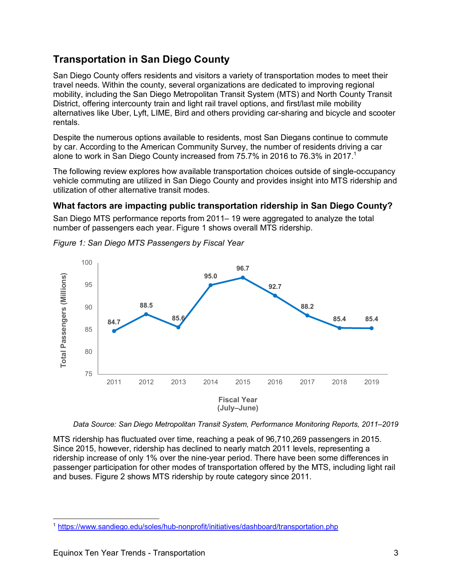# **Transportation in San Diego County**

San Diego County offers residents and visitors a variety of transportation modes to meet their travel needs. Within the county, several organizations are dedicated to improving regional mobility, including the San Diego Metropolitan Transit System (MTS) and North County Transit District, offering intercounty train and light rail travel options, and first/last mile mobility alternatives like Uber, Lyft, LIME, Bird and others providing car-sharing and bicycle and scooter rentals.

Despite the numerous options available to residents, most San Diegans continue to commute by car. According to the American Community Survey, the number of residents driving a car alone to work in San Diego County increased from 75.7% in 2016 to 76.3% in 2017. 1

The following review explores how available transportation choices outside of single-occupancy vehicle commuting are utilized in San Diego County and provides insight into MTS ridership and utilization of other alternative transit modes.

# **What factors are impacting public transportation ridership in San Diego County?**

San Diego MTS performance reports from 2011– 19 were aggregated to analyze the total number of passengers each year. Figure 1 shows overall MTS ridership.



*Figure 1: San Diego MTS Passengers by Fiscal Year*

*Data Source: San Diego Metropolitan Transit System, Performance Monitoring Reports, 2011–2019*

MTS ridership has fluctuated over time, reaching a peak of 96,710,269 passengers in 2015. Since 2015, however, ridership has declined to nearly match 2011 levels, representing a ridership increase of only 1% over the nine-year period. There have been some differences in passenger participation for other modes of transportation offered by the MTS, including light rail and buses. Figure 2 shows MTS ridership by route category since 2011.

 <sup>1</sup> https://www.sandiego.edu/soles/hub-nonprofit/initiatives/dashboard/transportation.php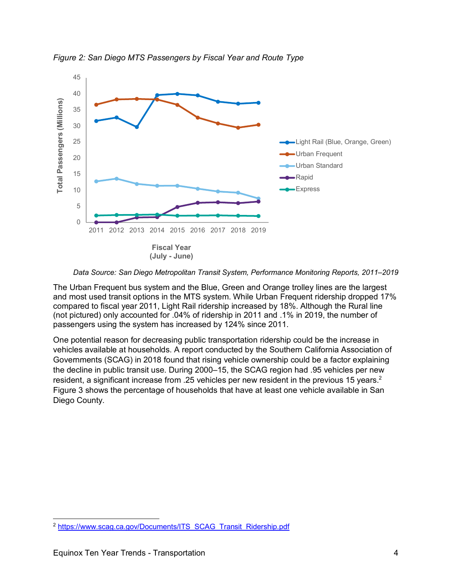

*Figure 2: San Diego MTS Passengers by Fiscal Year and Route Type*

The Urban Frequent bus system and the Blue, Green and Orange trolley lines are the largest and most used transit options in the MTS system. While Urban Frequent ridership dropped 17% compared to fiscal year 2011, Light Rail ridership increased by 18%. Although the Rural line (not pictured) only accounted for .04% of ridership in 2011 and .1% in 2019, the number of passengers using the system has increased by 124% since 2011.

One potential reason for decreasing public transportation ridership could be the increase in vehicles available at households. A report conducted by the Southern California Association of Governments (SCAG) in 2018 found that rising vehicle ownership could be a factor explaining the decline in public transit use. During 2000–15, the SCAG region had .95 vehicles per new resident, a significant increase from .25 vehicles per new resident in the previous 15 years.<sup>2</sup> Figure 3 shows the percentage of households that have at least one vehicle available in San Diego County.

*Data Source: San Diego Metropolitan Transit System, Performance Monitoring Reports, 2011–2019*

<sup>&</sup>lt;sup>2</sup> https://www.scag.ca.gov/Documents/ITS\_SCAG\_Transit\_Ridership.pdf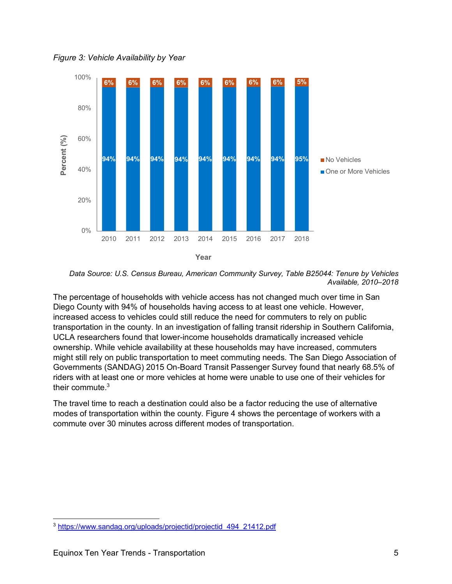*Figure 3: Vehicle Availability by Year*



*Data Source: U.S. Census Bureau, American Community Survey, Table B25044: Tenure by Vehicles Available, 2010–2018*

The percentage of households with vehicle access has not changed much over time in San Diego County with 94% of households having access to at least one vehicle. However, increased access to vehicles could still reduce the need for commuters to rely on public transportation in the county. In an investigation of falling transit ridership in Southern California, UCLA researchers found that lower-income households dramatically increased vehicle ownership. While vehicle availability at these households may have increased, commuters might still rely on public transportation to meet commuting needs. The San Diego Association of Governments (SANDAG) 2015 On-Board Transit Passenger Survey found that nearly 68.5% of riders with at least one or more vehicles at home were unable to use one of their vehicles for their commute.<sup>3</sup>

The travel time to reach a destination could also be a factor reducing the use of alternative modes of transportation within the county. Figure 4 shows the percentage of workers with a commute over 30 minutes across different modes of transportation.

 <sup>3</sup> https://www.sandag.org/uploads/projectid/projectid\_494\_21412.pdf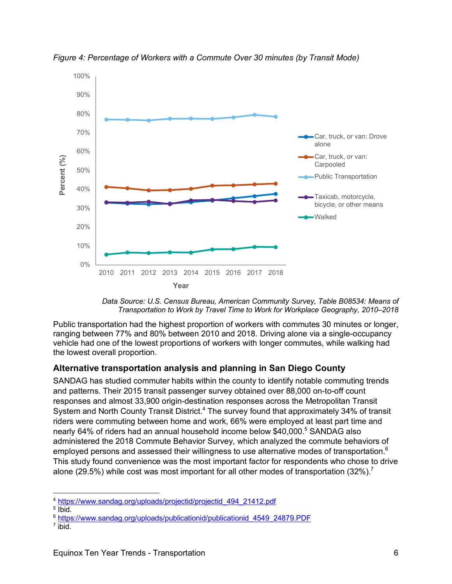

*Figure 4: Percentage of Workers with a Commute Over 30 minutes (by Transit Mode)*



Public transportation had the highest proportion of workers with commutes 30 minutes or longer, ranging between 77% and 80% between 2010 and 2018. Driving alone via a single-occupancy vehicle had one of the lowest proportions of workers with longer commutes, while walking had the lowest overall proportion.

## **Alternative transportation analysis and planning in San Diego County**

SANDAG has studied commuter habits within the county to identify notable commuting trends and patterns. Their 2015 transit passenger survey obtained over 88,000 on-to-off count responses and almost 33,900 origin-destination responses across the Metropolitan Transit System and North County Transit District.<sup>4</sup> The survey found that approximately 34% of transit riders were commuting between home and work, 66% were employed at least part time and nearly 64% of riders had an annual household income below \$40,000. <sup>5</sup> SANDAG also administered the 2018 Commute Behavior Survey, which analyzed the commute behaviors of employed persons and assessed their willingness to use alternative modes of transportation. $^6$ This study found convenience was the most important factor for respondents who chose to drive alone (29.5%) while cost was most important for all other modes of transportation (32%).<sup>7</sup>

 <sup>4</sup> https://www.sandag.org/uploads/projectid/projectid\_494\_21412.pdf

 $<sup>5</sup>$  Ibid.</sup>

<sup>6</sup> https://www.sandag.org/uploads/publicationid/publicationid\_4549\_24879.PDF

 $7$  ibid.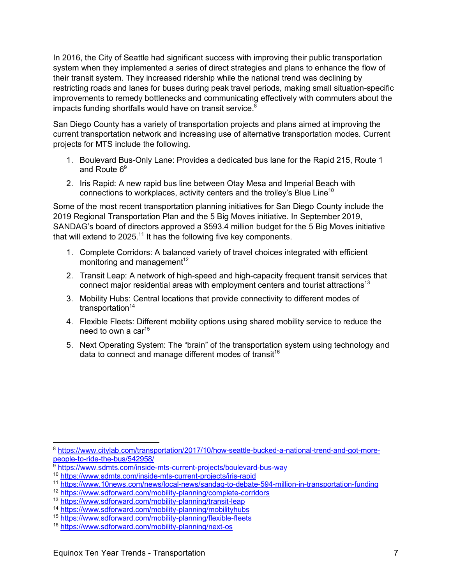In 2016, the City of Seattle had significant success with improving their public transportation system when they implemented a series of direct strategies and plans to enhance the flow of their transit system. They increased ridership while the national trend was declining by restricting roads and lanes for buses during peak travel periods, making small situation-specific improvements to remedy bottlenecks and communicating effectively with commuters about the impacts funding shortfalls would have on transit service.<sup>8</sup>

San Diego County has a variety of transportation projects and plans aimed at improving the current transportation network and increasing use of alternative transportation modes. Current projects for MTS include the following.

- 1. Boulevard Bus-Only Lane: Provides a dedicated bus lane for the Rapid 215, Route 1 and Route 6<sup>9</sup>
- 2. Iris Rapid: A new rapid bus line between Otay Mesa and Imperial Beach with connections to workplaces, activity centers and the trolley's Blue Line<sup>10</sup>

Some of the most recent transportation planning initiatives for San Diego County include the 2019 Regional Transportation Plan and the 5 Big Moves initiative. In September 2019, SANDAG's board of directors approved a \$593.4 million budget for the 5 Big Moves initiative that will extend to 2025.<sup>11</sup> It has the following five key components.

- 1. Complete Corridors: A balanced variety of travel choices integrated with efficient monitoring and management<sup>12</sup>
- 2. Transit Leap: A network of high-speed and high-capacity frequent transit services that connect major residential areas with employment centers and tourist attractions<sup>13</sup>
- 3. Mobility Hubs: Central locations that provide connectivity to different modes of transportation<sup>14</sup>
- 4. Flexible Fleets: Different mobility options using shared mobility service to reduce the need to own a car<sup>15</sup>
- 5. Next Operating System: The "brain" of the transportation system using technology and data to connect and manage different modes of transit<sup>16</sup>

 <sup>8</sup> https://www.citylab.com/transportation/2017/10/how-seattle-bucked-a-national-trend-and-got-morepeople-to-ride-the-bus/542958/

<sup>&</sup>lt;sup>9</sup> https://www.sdmts.com/inside-mts-current-projects/boulevard-bus-way

<sup>10</sup> https://www.sdmts.com/inside-mts-current-projects/iris-rapid

<sup>11</sup> https://www.10news.com/news/local-news/sandag-to-debate-594-million-in-transportation-funding

<sup>12</sup> https://www.sdforward.com/mobility-planning/complete-corridors

<sup>13</sup> https://www.sdforward.com/mobility-planning/transit-leap

<sup>14</sup> https://www.sdforward.com/mobility-planning/mobilityhubs

<sup>15</sup> https://www.sdforward.com/mobility-planning/flexible-fleets

<sup>16</sup> https://www.sdforward.com/mobility-planning/next-os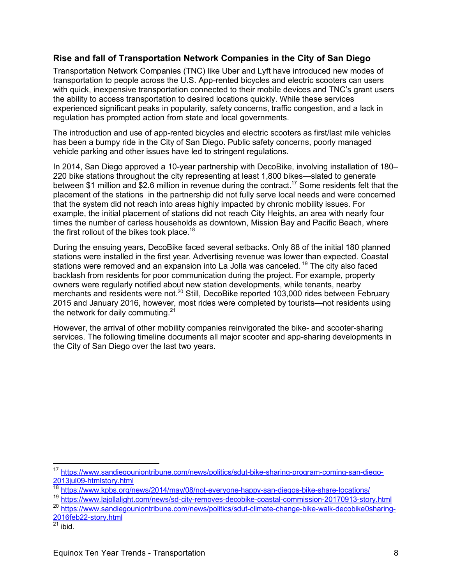## **Rise and fall of Transportation Network Companies in the City of San Diego**

Transportation Network Companies (TNC) like Uber and Lyft have introduced new modes of transportation to people across the U.S. App-rented bicycles and electric scooters can users with quick, inexpensive transportation connected to their mobile devices and TNC's grant users the ability to access transportation to desired locations quickly. While these services experienced significant peaks in popularity, safety concerns, traffic congestion, and a lack in regulation has prompted action from state and local governments.

The introduction and use of app-rented bicycles and electric scooters as first/last mile vehicles has been a bumpy ride in the City of San Diego. Public safety concerns, poorly managed vehicle parking and other issues have led to stringent regulations.

In 2014, San Diego approved a 10-year partnership with DecoBike, involving installation of 180– 220 bike stations throughout the city representing at least 1,800 bikes—slated to generate between \$1 million and \$2.6 million in revenue during the contract.<sup>17</sup> Some residents felt that the placement of the stations in the partnership did not fully serve local needs and were concerned that the system did not reach into areas highly impacted by chronic mobility issues. For example, the initial placement of stations did not reach City Heights, an area with nearly four times the number of carless households as downtown, Mission Bay and Pacific Beach, where the first rollout of the bikes took place. $^{18}$ 

During the ensuing years, DecoBike faced several setbacks. Only 88 of the initial 180 planned stations were installed in the first year. Advertising revenue was lower than expected. Coastal stations were removed and an expansion into La Jolla was canceled.<sup>19</sup> The city also faced backlash from residents for poor communication during the project. For example, property owners were regularly notified about new station developments, while tenants, nearby merchants and residents were not.<sup>20</sup> Still, DecoBike reported 103,000 rides between February 2015 and January 2016, however, most rides were completed by tourists—not residents using the network for daily commuting.<sup>21</sup>

However, the arrival of other mobility companies reinvigorated the bike- and scooter-sharing services. The following timeline documents all major scooter and app-sharing developments in the City of San Diego over the last two years.

 <sup>17</sup> https://www.sandiegouniontribune.com/news/politics/sdut-bike-sharing-program-coming-san-diego-2013jul09-htmlstory.html

<sup>18</sup> https://www.kpbs.org/news/2014/may/08/not-everyone-happy-san-diegos-bike-share-locations/

<sup>19</sup> https://www.lajollalight.com/news/sd-city-removes-decobike-coastal-commission-20170913-story.html

<sup>20</sup> https://www.sandiegouniontribune.com/news/politics/sdut-climate-change-bike-walk-decobike0sharing-2016feb22-story.html

 $^{21}$  ibid.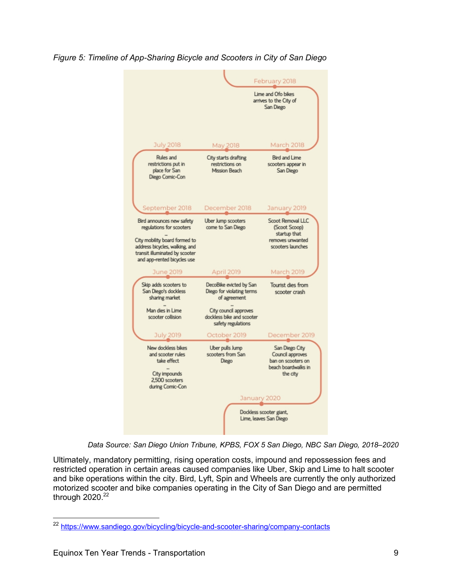

*Figure 5: Timeline of App-Sharing Bicycle and Scooters in City of San Diego*

*Data Source: San Diego Union Tribune, KPBS, FOX 5 San Diego, NBC San Diego, 2018‒2020*

Ultimately, mandatory permitting, rising operation costs, impound and repossession fees and restricted operation in certain areas caused companies like Uber, Skip and Lime to halt scooter and bike operations within the city. Bird, Lyft, Spin and Wheels are currently the only authorized motorized scooter and bike companies operating in the City of San Diego and are permitted through 2020.<sup>22</sup>

<sup>&</sup>lt;sup>22</sup> https://www.sandiego.gov/bicycling/bicycle-and-scooter-sharing/company-contacts